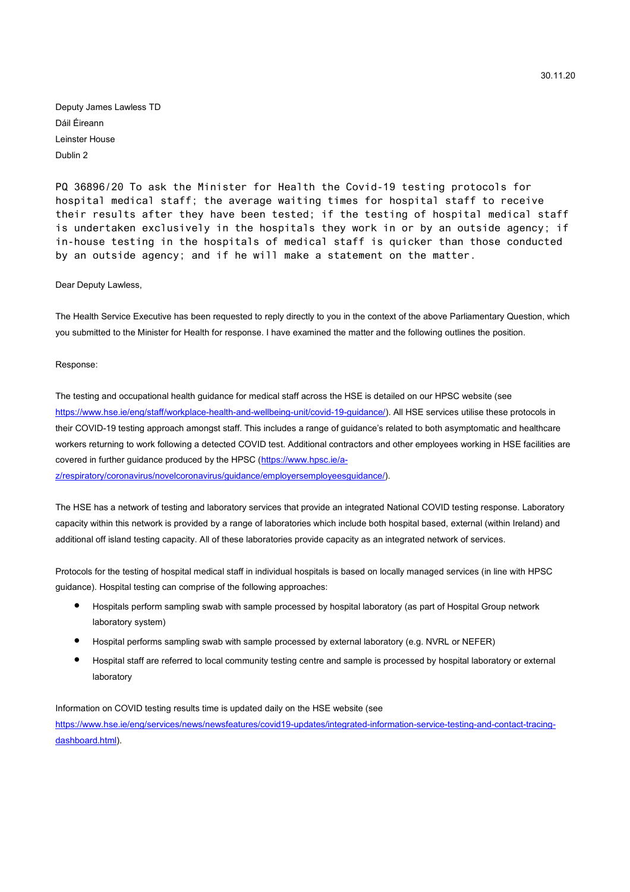Deputy James Lawless TD Dáil Éireann Leinster House Dublin 2

PQ 36896/20 To ask the Minister for Health the Covid-19 testing protocols for hospital medical staff; the average waiting times for hospital staff to receive their results after they have been tested; if the testing of hospital medical staff is undertaken exclusively in the hospitals they work in or by an outside agency; if in-house testing in the hospitals of medical staff is quicker than those conducted by an outside agency; and if he will make a statement on the matter.

Dear Deputy Lawless,

The Health Service Executive has been requested to reply directly to you in the context of the above Parliamentary Question, which you submitted to the Minister for Health for response. I have examined the matter and the following outlines the position.

#### Response:

The testing and occupational health guidance for medical staff across the HSE is detailed on our HPSC website (see https://www.hse.ie/eng/staff/workplace-health-and-wellbeing-unit/covid-19-guidance/). All HSE services utilise these protocols in their COVID-19 testing approach amongst staff. This includes a range of guidance's related to both asymptomatic and healthcare workers returning to work following a detected COVID test. Additional contractors and other employees working in HSE facilities are covered in further guidance produced by the HPSC (https://www.hpsc.ie/a-

z/respiratory/coronavirus/novelcoronavirus/guidance/employersemployeesguidance/).

The HSE has a network of testing and laboratory services that provide an integrated National COVID testing response. Laboratory capacity within this network is provided by a range of laboratories which include both hospital based, external (within Ireland) and additional off island testing capacity. All of these laboratories provide capacity as an integrated network of services.

Protocols for the testing of hospital medical staff in individual hospitals is based on locally managed services (in line with HPSC guidance). Hospital testing can comprise of the following approaches:

- Hospitals perform sampling swab with sample processed by hospital laboratory (as part of Hospital Group network laboratory system)
- Hospital performs sampling swab with sample processed by external laboratory (e.g. NVRL or NEFER)
- Hospital staff are referred to local community testing centre and sample is processed by hospital laboratory or external laboratory

Information on COVID testing results time is updated daily on the HSE website (see https://www.hse.ie/eng/services/news/newsfeatures/covid19-updates/integrated-information-service-testing-and-contact-tracingdashboard.html).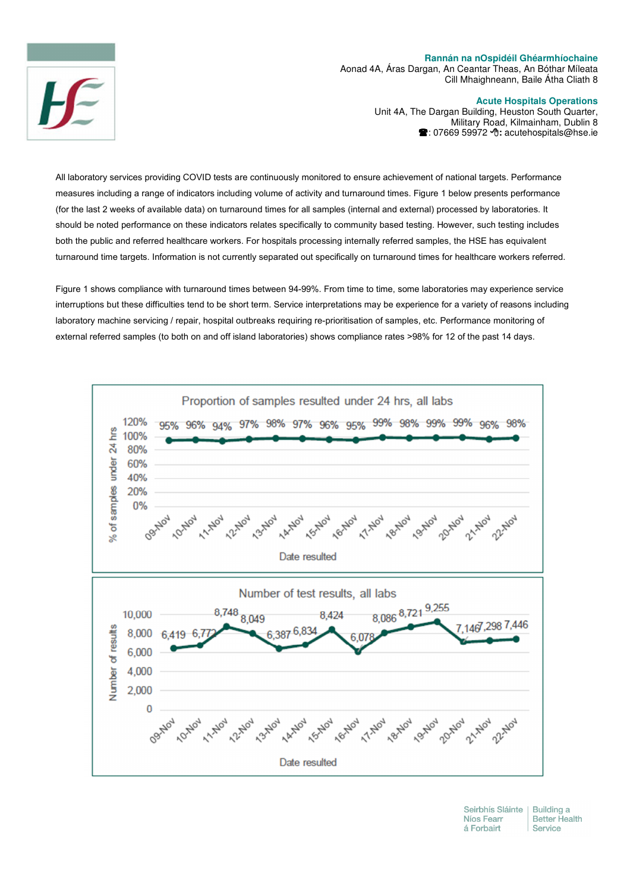## **Rannán na nOspidéil Ghéarmhíochaine**

Aonad 4A, Áras Dargan, An Ceantar Theas, An Bóthar Míleata Cill Mhaighneann, Baile Átha Cliath 8

## **Acute Hospitals Operations**

Unit 4A, The Dargan Building, Heuston South Quarter, Military Road, Kilmainham, Dublin 8 : 07669 59972 -**:** acutehospitals@hse.ie

All laboratory services providing COVID tests are continuously monitored to ensure achievement of national targets. Performance measures including a range of indicators including volume of activity and turnaround times. Figure 1 below presents performance (for the last 2 weeks of available data) on turnaround times for all samples (internal and external) processed by laboratories. It should be noted performance on these indicators relates specifically to community based testing. However, such testing includes both the public and referred healthcare workers. For hospitals processing internally referred samples, the HSE has equivalent turnaround time targets. Information is not currently separated out specifically on turnaround times for healthcare workers referred.

Figure 1 shows compliance with turnaround times between 94-99%. From time to time, some laboratories may experience service interruptions but these difficulties tend to be short term. Service interpretations may be experience for a variety of reasons including laboratory machine servicing / repair, hospital outbreaks requiring re-prioritisation of samples, etc. Performance monitoring of external referred samples (to both on and off island laboratories) shows compliance rates >98% for 12 of the past 14 days.



Seirbhís Sláinte Building a Níos Fearr **Better Health** á Forbairt Service